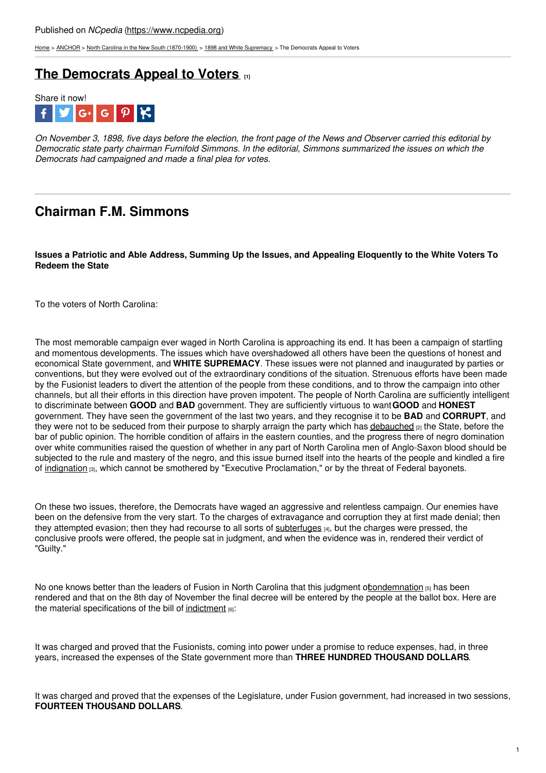[Home](https://www.ncpedia.org/) > [ANCHOR](https://www.ncpedia.org/anchor/anchor) > North Carolina in the New South [\(1870-1900\)](https://www.ncpedia.org/anchor/north-carolina-new-south) > 1898 and White [Supremacy](https://www.ncpedia.org/anchor/1898-and-white-supremacy) > The Democrats Appeal to Voters

## **The [Democrats](https://www.ncpedia.org/anchor/democrats-appeal-voters) Appeal to Voters [1]**



On November 3, 1898, five days before the election, the front page of the News and Observer carried this editorial by *Democratic state party chairman Furnifold Simmons. In the editorial, Simmons summarized the issues on which the Democrats had campaigned and made a final plea for votes.*

# **Chairman F.M. Simmons**

Issues a Patriotic and Able Address, [Summing](http://www.social9.com) Up the Issues, and Appealing Eloquently to the White Voters To **Redeem the State**

To the voters of North Carolina:

The most memorable campaign ever waged in North Carolina is approaching its end. It has been a campaign of startling and momentous developments. The issues which have overshadowed all others have been the questions of honest and economical State government, and **WHITE SUPREMACY**. These issues were not planned and inaugurated by parties or conventions, but they were evolved out of the extraordinary conditions of the situation. Strenuous efforts have been made by the Fusionist leaders to divert the attention of the people from these conditions, and to throw the campaign into other channels, but all their efforts in this direction have proven impotent. The people of North Carolina are sufficiently intelligent to discriminate between **GOOD** and **BAD** government. They are sufficiently virtuous to want**GOOD** and **HONEST** government. They have seen the government of the last two years, and they recognise it to be **BAD** and **CORRUPT**, and they were not to be seduced from their purpose to sharply arraign the party which has [debauched](https://www.ncpedia.org/glossary/debauch) [2] the State, before the bar of public opinion. The horrible condition of affairs in the eastern counties, and the progress there of negro domination over white communities raised the question of whether in any part of North Carolina men of Anglo-Saxon blood should be subjected to the rule and mastery of the negro, and this issue burned itself into the hearts of the people and kindled a fire of [indignation](https://www.ncpedia.org/glossary/indignation) [3], which cannot be smothered by "Executive Proclamation," or by the threat of Federal bayonets.

On these two issues, therefore, the Democrats have waged an aggressive and relentless campaign. Our enemies have been on the defensive from the very start. To the charges of extravagance and corruption they at first made denial; then they attempted evasion; then they had recourse to all sorts of [subterfuges](https://www.ncpedia.org/glossary/subterfuge)  $H_{1}$ , but the charges were pressed, the conclusive proofs were offered, the people sat in judgment, and when the evidence was in, rendered their verdict of "Guilty."

No one knows better than the leaders of Fusion in North Carolina that this judgment of condemnation [5] has been rendered and that on the 8th day of November the final decree will be entered by the people at the ballot box. Here are the material specifications of the bill of [indictment](https://www.ncpedia.org/glossary/indictment)  $[6]$ :

It was charged and proved that the Fusionists, coming into power under a promise to reduce expenses, had, in three years, increased the expenses of the State government more than **THREE HUNDRED THOUSAND DOLLARS**.

It was charged and proved that the expenses of the Legislature, under Fusion government, had increased in two sessions, **FOURTEEN THOUSAND DOLLARS**.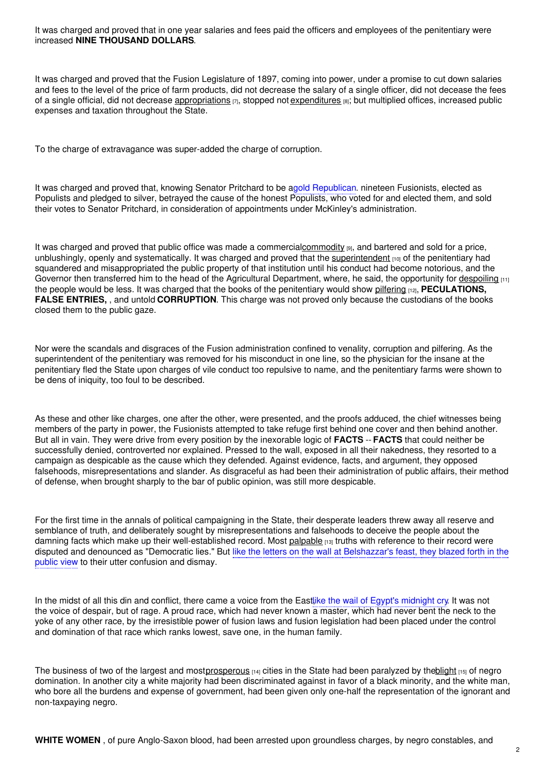It was charged and proved that in one year salaries and fees paid the officers and employees of the penitentiary were increased **NINE THOUSAND DOLLARS**.

It was charged and proved that the Fusion Legislature of 1897, coming into power, under a promise to cut down salaries and fees to the level of the price of farm products, did not decrease the salary of a single officer, did not decease the fees of a single official, did not decrease [appropriations](https://www.ncpedia.org/glossary/appropriation)  $\eta$ , stopped not [expenditures](https://www.ncpedia.org/glossary/expenditure)  $\eta$ ; but multiplied offices, increased public expenses and taxation throughout the State.

To the charge of extravagance was super-added the charge of corruption.

It was charged and proved that, knowing Senator Pritchard to be agold Republican. nineteen Fusionists, elected as Populists and pledged to silver, betrayed the cause of the honest Populists, who voted for and elected them, and sold their votes to Senator Pritchard, in consideration of appointments under McKinley's administration.

It was charged and proved that public office was made a commercia[lcommodity](https://www.ncpedia.org/glossary/commodity) [9], and bartered and sold for a price, unblushingly, openly and systematically. It was charged and proved that the [superintendent](https://www.ncpedia.org/glossary/superintendent)  $_{[10]}$  of the penitentiary had squandered and misappropriated the public property of that institution until his conduct had become notorious, and the Governor then transferred him to the head of the Agricultural Department, where, he said, the opportunity for [despoiling](https://www.ncpedia.org/glossary/despoil)  $(11)$ the people would be less. It was charged that the books of the penitentiary would show [pilfering](https://www.ncpedia.org/glossary/pilfer) [12], **PECULATIONS, FALSE ENTRIES,** , and untold **CORRUPTION**. This charge was not proved only because the custodians of the books closed them to the public gaze.

Nor were the scandals and disgraces of the Fusion administration confined to venality, corruption and pilfering. As the superintendent of the penitentiary was removed for his misconduct in one line, so the physician for the insane at the penitentiary fled the State upon charges of vile conduct too repulsive to name, and the penitentiary farms were shown to be dens of iniquity, too foul to be described.

As these and other like charges, one after the other, were presented, and the proofs adduced, the chief witnesses being members of the party in power, the Fusionists attempted to take refuge first behind one cover and then behind another. But all in vain. They were drive from every position by the inexorable logic of **FACTS** -- **FACTS** that could neither be successfully denied, controverted nor explained. Pressed to the wall, exposed in all their nakedness, they resorted to a campaign as despicable as the cause which they defended. Against evidence, facts, and argument, they opposed falsehoods, misrepresentations and slander. As disgraceful as had been their administration of public affairs, their method of defense, when brought sharply to the bar of public opinion, was still more despicable.

For the first time in the annals of political campaigning in the State, their desperate leaders threw away all reserve and semblance of truth, and deliberately sought by misrepresentations and falsehoods to deceive the people about the damning facts which make up their well-established record. Most [palpable](https://www.ncpedia.org/glossary/palpable) [13] truths with reference to their record were disputed and denounced as "Democratic lies." But like the letters on the wall at Belshazzar's feast, they blazed forth in the public view to their utter confusion and dismay.

In the midst of all this din and conflict, there came a voice from the Eastlike the wail of Egypt's midnight cry. It was not the voice of despair, but of rage. A proud race, which had never known a master, which had never bent the neck to the yoke of any other race, by the irresistible power of fusion laws and fusion legislation had been placed under the control and domination of that race which ranks lowest, save one, in the human family.

The business of two of the largest and most[prosperous](https://www.ncpedia.org/glossary/prosperous)  $[14]$  cities in the State had been paralyzed by the blight  $[15]$  of negro domination. In another city a white majority had been discriminated against in favor of a black minority, and the white man, who bore all the burdens and expense of government, had been given only one-half the representation of the ignorant and non-taxpaying negro.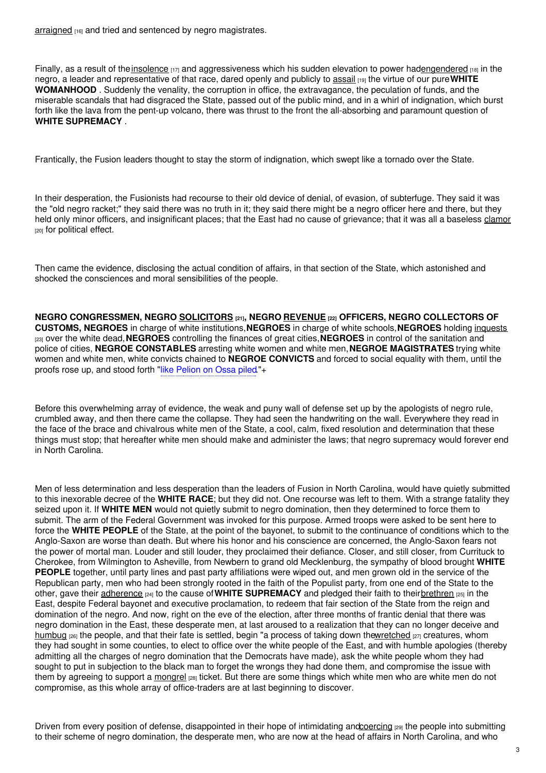[arraigned](https://www.ncpedia.org/glossary/arraign) [16] and tried and sentenced by negro magistrates.

Finally, as a result of the insolence  $_{[17]}$  and aggressiveness which his sudden elevation to power ha[dengendered](https://www.ncpedia.org/glossary/engendered)  $_{[18]}$  in the negro, a leader and representative of that race, dared openly and publicly to [assail](https://www.ncpedia.org/glossary/assail) [19] the virtue of our pure**WHITE WOMANHOOD** . Suddenly the venality, the corruption in office, the extravagance, the peculation of funds, and the miserable scandals that had disgraced the State, passed out of the public mind, and in a whirl of indignation, which burst forth like the lava from the pent-up volcano, there was thrust to the front the all-absorbing and paramount question of **WHITE SUPREMACY** .

Frantically, the Fusion leaders thought to stay the storm of indignation, which swept like a tornado over the State.

In their desperation, the Fusionists had recourse to their old device of denial, of evasion, of subterfuge. They said it was the "old negro racket;" they said there was no truth in it; they said there might be a negro officer here and there, but they held only minor officers, and insignificant places; that the East had no cause of grievance; that it was all a baseless [clamor](https://www.ncpedia.org/glossary/clamor) [20] for political effect.

Then came the evidence, disclosing the actual condition of affairs, in that section of the State, which astonished and shocked the consciences and moral sensibilities of the people.

**NEGRO CONGRESSMEN, NEGRO [SOLICITORS](https://www.ncpedia.org/glossary/solicitors) [21], NEGRO [REVENUE](https://www.ncpedia.org/glossary/revenue) [22] OFFICERS, NEGRO COLLECTORS OF CUSTOMS, NEGROES** in charge of white institutions,**NEGROES** in charge of white schools,**NEGROES** holding [inquests](https://www.ncpedia.org/glossary/inquest) [23] over the white dead,**NEGROES** controlling the finances of great cities,**NEGROES** in control of the sanitation and police of cities, **NEGROE CONSTABLES** arresting white women and white men,**NEGROE MAGISTRATES** trying white women and white men, white convicts chained to **NEGROE CONVICTS** and forced to social equality with them, until the proofs rose up, and stood forth "like Pelion on Ossa piled."+

Before this overwhelming array of evidence, the weak and puny wall of defense set up by the apologists of negro rule, crumbled away, and then there came the collapse. They had seen the handwriting on the wall. Everywhere they read in the face of the brace and chivalrous white men of the State, a cool, calm, fixed resolution and determination that these things must stop; that hereafter white men should make and administer the laws; that negro supremacy would forever end in North Carolina.

Men of less determination and less desperation than the leaders of Fusion in North Carolina, would have quietly submitted to this inexorable decree of the **WHITE RACE**; but they did not. One recourse was left to them. With a strange fatality they seized upon it. If **WHITE MEN** would not quietly submit to negro domination, then they determined to force them to submit. The arm of the Federal Government was invoked for this purpose. Armed troops were asked to be sent here to force the **WHITE PEOPLE** of the State, at the point of the bayonet, to submit to the continuance of conditions which to the Anglo-Saxon are worse than death. But where his honor and his conscience are concerned, the Anglo-Saxon fears not the power of mortal man. Louder and still louder, they proclaimed their defiance. Closer, and still closer, from Currituck to Cherokee, from Wilmington to Asheville, from Newbern to grand old Mecklenburg, the sympathy of blood brought **WHITE PEOPLE** together, until party lines and past party affiliations were wiped out, and men grown old in the service of the Republican party, men who had been strongly rooted in the faith of the Populist party, from one end of the State to the other, gave their [adherence](https://www.ncpedia.org/glossary/adherence) [24] to the cause of**WHITE SUPREMACY** and pledged their faith to thei[rbrethren](https://www.ncpedia.org/glossary/brethren) [25] in the East, despite Federal bayonet and executive proclamation, to redeem that fair section of the State from the reign and domination of the negro. And now, right on the eve of the election, after three months of frantic denial that there was negro domination in the East, these desperate men, at last aroused to a realization that they can no longer deceive and [humbug](https://www.ncpedia.org/glossary/humbug)  $_{[26]}$  the people, and that their fate is settled, begin "a process of taking down th[ewretched](https://www.ncpedia.org/glossary/wretched)  $_{[27]}$  creatures, whom they had sought in some counties, to elect to office over the white people of the East, and with humble apologies (thereby admitting all the charges of negro domination that the Democrats have made), ask the white people whom they had sought to put in subjection to the black man to forget the wrongs they had done them, and compromise the issue with them by agreeing to support a [mongrel](https://www.ncpedia.org/glossary/mongrel) [28] ticket. But there are some things which white men who are white men do not compromise, as this whole array of office-traders are at last beginning to discover.

Driven from every position of defense, disappointed in their hope of intimidating and coercing [29] the people into submitting to their scheme of negro domination, the desperate men, who are now at the head of affairs in North Carolina, and who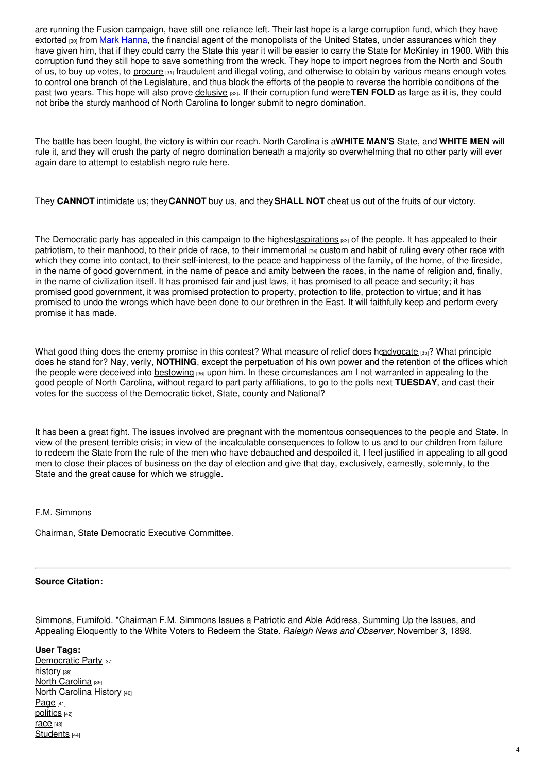are running the Fusion campaign, have still one reliance left. Their last hope is a large corruption fund, which they have [extorted](https://www.ncpedia.org/glossary/extort) <sub>[30]</sub> from Mark Hanna, the financial agent of the monopolists of the United States, under assurances which they have given him, that if they could carry the State this year it will be easier to carry the State for McKinley in 1900. With this corruption fund they still hope to save something from the wreck. They hope to import negroes from the North and South of us, to buy up votes, to [procure](https://www.ncpedia.org/glossary/procure) [31] fraudulent and illegal voting, and otherwise to obtain by various means enough votes to control one branch of the Legislature, and thus block the efforts of the people to reverse the horrible conditions of the past two years. This hope will also prove [delusive](https://www.ncpedia.org/glossary/delusive) [32]. If their corruption fund were**TEN FOLD** as large as it is, they could not bribe the sturdy manhood of North Carolina to longer submit to negro domination.

The battle has been fought, the victory is within our reach. North Carolina is a**WHITE MAN'S** State, and **WHITE MEN** will rule it, and they will crush the party of negro domination beneath a majority so overwhelming that no other party will ever again dare to attempt to establish negro rule here.

They **CANNOT** intimidate us; they**CANNOT** buy us, and they**SHALL NOT** cheat us out of the fruits of our victory.

The Democratic party has appealed in this campaign to the highes[taspirations](https://www.ncpedia.org/glossary/aspiration) [33] of the people. It has appealed to their patriotism, to their manhood, to their pride of race, to their [immemorial](https://www.ncpedia.org/glossary/immemorial) [34] custom and habit of ruling every other race with which they come into contact, to their self-interest, to the peace and happiness of the family, of the home, of the fireside, in the name of good government, in the name of peace and amity between the races, in the name of religion and, finally, in the name of civilization itself. It has promised fair and just laws, it has promised to all peace and security; it has promised good government, it was promised protection to property, protection to life, protection to virtue; and it has promised to undo the wrongs which have been done to our brethren in the East. It will faithfully keep and perform every promise it has made.

What good thing does the enemy promise in this contest? What measure of relief does h[eadvocate](https://www.ncpedia.org/glossary/advocate) [35]? What principle does he stand for? Nay, verily, **NOTHING**, except the perpetuation of his own power and the retention of the offices which the people were deceived into [bestowing](https://www.ncpedia.org/glossary/bestow) [36] upon him. In these circumstances am I not warranted in appealing to the good people of North Carolina, without regard to part party affiliations, to go to the polls next **TUESDAY**, and cast their votes for the success of the Democratic ticket, State, county and National?

It has been a great fight. The issues involved are pregnant with the momentous consequences to the people and State. In view of the present terrible crisis; in view of the incalculable consequences to follow to us and to our children from failure to redeem the State from the rule of the men who have debauched and despoiled it, I feel justified in appealing to all good men to close their places of business on the day of election and give that day, exclusively, earnestly, solemnly, to the State and the great cause for which we struggle.

F.M. Simmons

Chairman, State Democratic Executive Committee.

#### **Source Citation:**

Simmons, Furnifold. "Chairman F.M. Simmons Issues a Patriotic and Able Address, Summing Up the Issues, and Appealing Eloquently to the White Voters to Redeem the State. *Raleigh News and Observer,* November 3, 1898.

#### **User Tags:**

[Democratic](https://www.ncpedia.org/category/user-tags/democratic-party) Party [37] [history](https://www.ncpedia.org/category/user-tags/history) [38] North [Carolina](https://www.ncpedia.org/category/user-tags/north-carolina-5) [39] North [Carolina](https://www.ncpedia.org/category/user-tags/north-carolina-6) History [40]  $Page [41]$  $Page [41]$ [politics](https://www.ncpedia.org/category/user-tags/politics) [42]  $race$  [43] [Students](https://www.ncpedia.org/category/user-tags/students) [44]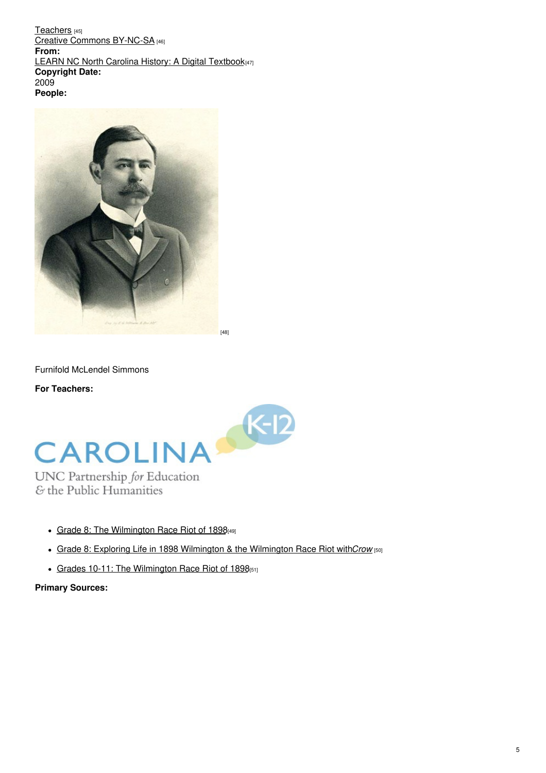[Teachers](https://www.ncpedia.org/category/user-tags/teachers) [45] Creative Commons [BY-NC-SA](https://www.ncpedia.org/category/user-tags/creative-commons) [46] **From:** LEARN NC North Carolina History: A Digital [Textbook](https://www.ncpedia.org/category/entry-source/learn-nc)[47] **Copyright Date:** 2009 **People:**



Furnifold McLendel Simmons

**For Teachers:**



UNC Partnership for Education & the Public Humanities

- Grade 8: The [Wilmington](https://database.civics.unc.edu/wp-content/uploads/sites/31/2012/04/WilmingtonRaceRiot8.pdf) Race Riot of 1898[49]
- Grade 8: Exploring Life in 1898 Wilmington & the [Wilmington](https://database.civics.unc.edu/wp-content/uploads/sites/31/2013/05/1898Crow.pdf) Race Riot with*Crow* [50]
- Grades 10-11: The [Wilmington](https://database.civics.unc.edu/wp-content/uploads/sites/31/2012/05/WilmingtonRaceRiot3.pdf) Race Riot of 1898[51]

## **Primary Sources:**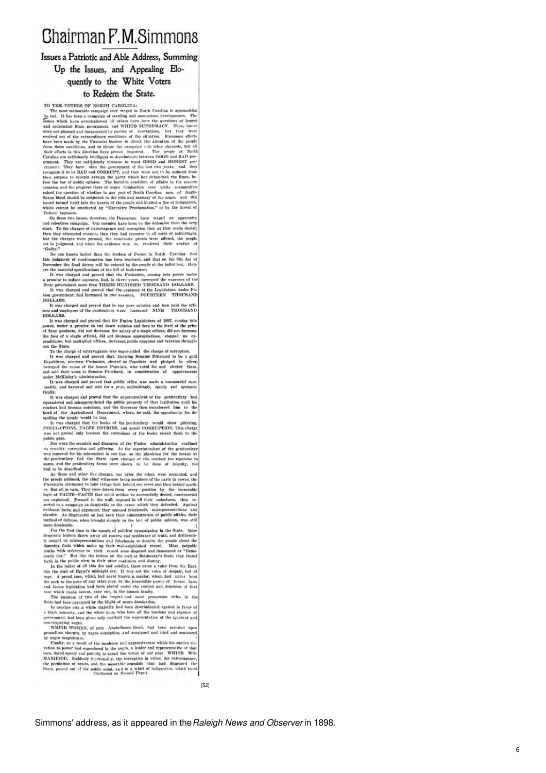# **Chairman F.M.Simmons**

### Issues a Patriotic and Able Address, Summing Up the Issues, and Appealing Elo-

## quently to the White Voters

#### to Redeem the State.

to Rede<br/>eirn the State.<br>
TO THE VOTEIS OF NOITEN CAROLINA: The most memorial<br/>most mass of the most memorial community and in North Carelian is approaching it<br/>seem in this best most memorial in the corresponden

Guilty."<br>
Super Source than the lenders of Fusion in North Carolina that<br>
Super Source knows better than the selected by the people at the ball<br>
of the selected by the selected by the people of the ball<br>
of the selected b this judge

 $\overline{\mathbf{8}}$ 

**DOLLARS** 

DOLLARS. It was charged and proved that in one year sularies and fees paid the officers and employees of the penitentiary were increased NINE THOUSAND DOLLARS.

DOLLARS.<br>The was charged and proved that the Fusion Legislature of 1897, coming into<br>power, under a promise to cut down sularies and frest to the level of the price<br>power, under a promise to cut down sularies and frest to penditures; but<br>out the State To the charge of extravagance was squer-added the charge of correption

To the charge of extravagance was super-added the charge of corruption.<br>To the charge of corruption, united and proved that, knowing Stendard by the a gold<br>Republican, ninetector Putoinists, elected as Pogoslites and pled

modify, and bartered and sold for a prec, unblushingly, openly and systemations, it was charged and proved that the superintendent of the penthentiary had systematically respondented and minispropriated the public peopert

PERCULATIONS, FALSE ENTIRES, and usubil CORRUPTION. This charge PERCULATIONS, while cases the external in the book cheose them to the book cheose them to the main a received by the vertex the small of the proposition of t

r-taxpaying negres.<br>WHITE WOMEN, of pure Anglo-Saxon blood, had been arrested<br>undless charges, by negro constables, and arraigued und tried and sente<br>negro magistrates.  $\ddot{\phantom{a}}$ 

oundless charges,<br>pegro magistrat  $\tilde{b}$ by regro magnetates. Thus, as a result of the insolence and angressiveness which his sublen electric value of the results of the regressive state of the results of the results of the regressive of the results of the value

Simmons' address, as it appeared in the*Raleigh News and Observer* in 1898.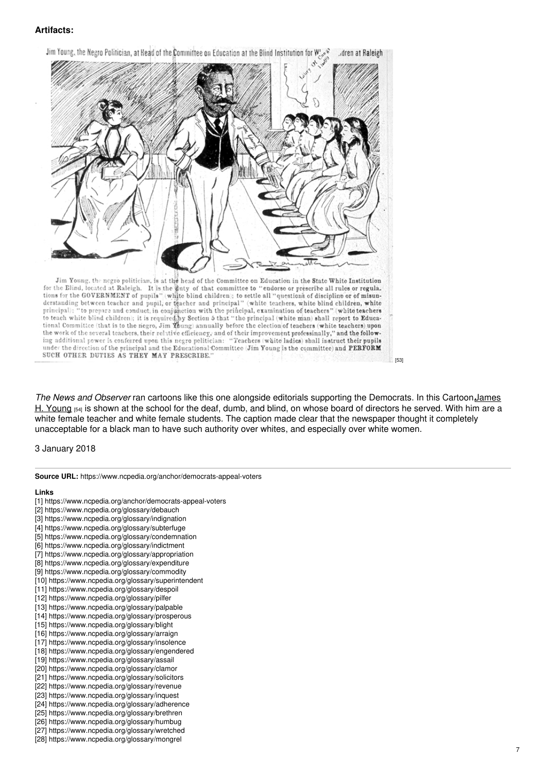### **Artifacts:**



for the Blind, located at Raleigh. It is the guty of that committee to "endorse or prescribe all rules or regula. tions for the GOVERNMENT of pupils" (white blind children); to settle all "questions of discipline or of misun-<br>derstanding between teacher and pupil, or teacher and principal" (white teachers, white blind children, white derstanding between teacher and pupil, or the relational principal" (white teachers, white blind children, white<br>principal); "to prepare and conduct, in conjunction with the principal, examination of teachers" (white teac SUCH OTHER DUTIES AS THEY MAY PRESCRIBE.

*The News and Observer* ran cartoons like this one alongside editorials supporting the Democrats. In this [Cartoon,James](https://www.ncpedia.org/biography/young-james-hunter) H. Young [54] is shown at the school for the deaf, dumb, and blind, on whose board of directors he served. With him are a white female teacher and white female students. The caption made clear that the newspaper thought it completely unacceptable for a black man to have such authority over whites, and especially over white women.

[53]

3 January 2018

**Source URL:** https://www.ncpedia.org/anchor/democrats-appeal-voters

#### **Links**

- [1] https://www.ncpedia.org/anchor/democrats-appeal-voters [2] https://www.ncpedia.org/glossary/debauch
- [3] https://www.ncpedia.org/glossary/indignation
- [4] https://www.ncpedia.org/glossary/subterfuge
- [5] https://www.ncpedia.org/glossary/condemnation
- [6] https://www.ncpedia.org/glossary/indictment
- [7] https://www.ncpedia.org/glossary/appropriation
- [8] https://www.ncpedia.org/glossary/expenditure
- [9] https://www.ncpedia.org/glossary/commodity [10] https://www.ncpedia.org/glossary/superintendent
- [11] https://www.ncpedia.org/glossary/despoil
- [12] https://www.ncpedia.org/glossary/pilfer
- [13] https://www.ncpedia.org/glossary/palpable
- [14] https://www.ncpedia.org/glossary/prosperous
- [15] https://www.ncpedia.org/glossary/blight
- [16] https://www.ncpedia.org/glossary/arraign
- [17] https://www.ncpedia.org/glossary/insolence
- [18] https://www.ncpedia.org/glossary/engendered
- [19] https://www.ncpedia.org/glossary/assail
- [20] https://www.ncpedia.org/glossary/clamor
- [21] https://www.ncpedia.org/glossary/solicitors
- [22] https://www.ncpedia.org/glossary/revenue
- [23] https://www.ncpedia.org/glossary/inquest [24] https://www.ncpedia.org/glossary/adherence
- [25] https://www.ncpedia.org/glossary/brethren
- [26] https://www.ncpedia.org/glossary/humbug
- [27] https://www.ncpedia.org/glossary/wretched
- [28] https://www.ncpedia.org/glossary/mongrel